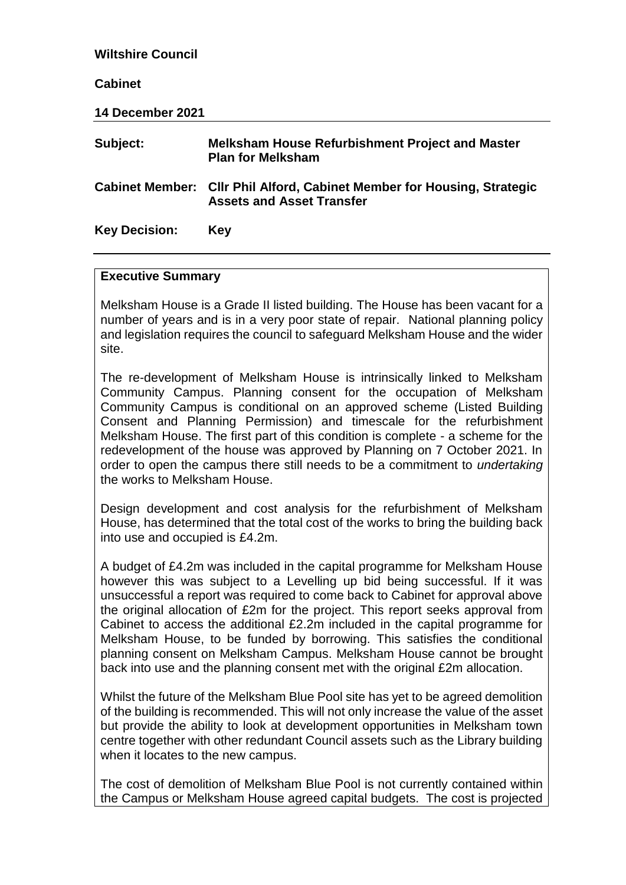| <b>Wiltshire Council</b> |                                                                                                             |  |
|--------------------------|-------------------------------------------------------------------------------------------------------------|--|
| <b>Cabinet</b>           |                                                                                                             |  |
| 14 December 2021         |                                                                                                             |  |
| Subject:                 | <b>Melksham House Refurbishment Project and Master</b><br><b>Plan for Melksham</b>                          |  |
|                          | Cabinet Member: Cllr Phil Alford, Cabinet Member for Housing, Strategic<br><b>Assets and Asset Transfer</b> |  |
| <b>Key Decision:</b>     | Key                                                                                                         |  |

### **Executive Summary**

Melksham House is a Grade II listed building. The House has been vacant for a number of years and is in a very poor state of repair. National planning policy and legislation requires the council to safeguard Melksham House and the wider site.

The re-development of Melksham House is intrinsically linked to Melksham Community Campus. Planning consent for the occupation of Melksham Community Campus is conditional on an approved scheme (Listed Building Consent and Planning Permission) and timescale for the refurbishment Melksham House. The first part of this condition is complete - a scheme for the redevelopment of the house was approved by Planning on 7 October 2021. In order to open the campus there still needs to be a commitment to *undertaking* the works to Melksham House.

Design development and cost analysis for the refurbishment of Melksham House, has determined that the total cost of the works to bring the building back into use and occupied is £4.2m.

A budget of £4.2m was included in the capital programme for Melksham House however this was subject to a Levelling up bid being successful. If it was unsuccessful a report was required to come back to Cabinet for approval above the original allocation of £2m for the project. This report seeks approval from Cabinet to access the additional £2.2m included in the capital programme for Melksham House, to be funded by borrowing. This satisfies the conditional planning consent on Melksham Campus. Melksham House cannot be brought back into use and the planning consent met with the original £2m allocation.

Whilst the future of the Melksham Blue Pool site has yet to be agreed demolition of the building is recommended. This will not only increase the value of the asset but provide the ability to look at development opportunities in Melksham town centre together with other redundant Council assets such as the Library building when it locates to the new campus.

The cost of demolition of Melksham Blue Pool is not currently contained within the Campus or Melksham House agreed capital budgets. The cost is projected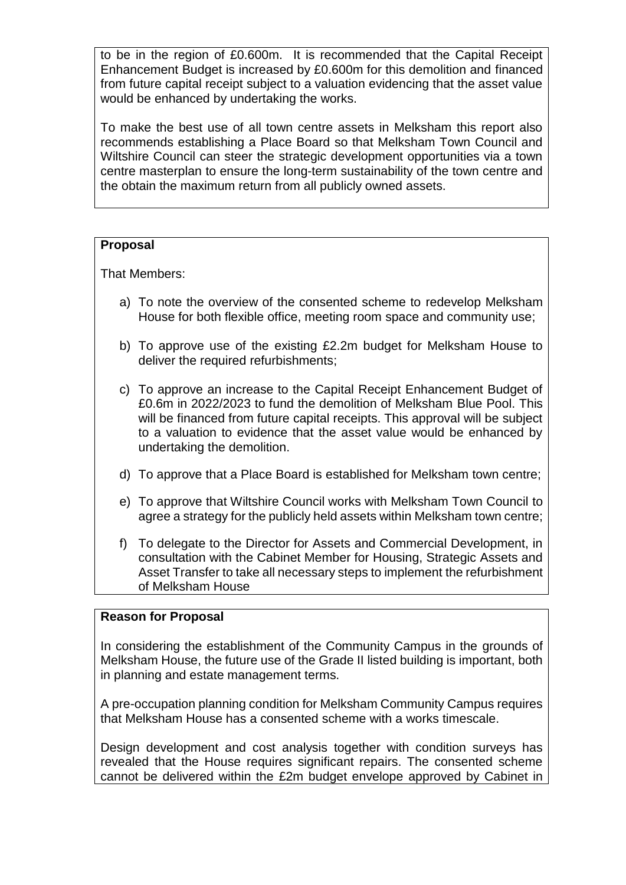to be in the region of £0.600m. It is recommended that the Capital Receipt Enhancement Budget is increased by £0.600m for this demolition and financed from future capital receipt subject to a valuation evidencing that the asset value would be enhanced by undertaking the works.

To make the best use of all town centre assets in Melksham this report also recommends establishing a Place Board so that Melksham Town Council and Wiltshire Council can steer the strategic development opportunities via a town centre masterplan to ensure the long-term sustainability of the town centre and the obtain the maximum return from all publicly owned assets.

# **Proposal**

That Members:

- a) To note the overview of the consented scheme to redevelop Melksham House for both flexible office, meeting room space and community use;
- b) To approve use of the existing £2.2m budget for Melksham House to deliver the required refurbishments;
- c) To approve an increase to the Capital Receipt Enhancement Budget of £0.6m in 2022/2023 to fund the demolition of Melksham Blue Pool. This will be financed from future capital receipts. This approval will be subject to a valuation to evidence that the asset value would be enhanced by undertaking the demolition.
- d) To approve that a Place Board is established for Melksham town centre;
- e) To approve that Wiltshire Council works with Melksham Town Council to agree a strategy for the publicly held assets within Melksham town centre;
- f) To delegate to the Director for Assets and Commercial Development, in consultation with the Cabinet Member for Housing, Strategic Assets and Asset Transfer to take all necessary steps to implement the refurbishment of Melksham House

# **Reason for Proposal**

In considering the establishment of the Community Campus in the grounds of Melksham House, the future use of the Grade II listed building is important, both in planning and estate management terms.

A pre-occupation planning condition for Melksham Community Campus requires that Melksham House has a consented scheme with a works timescale.

Design development and cost analysis together with condition surveys has revealed that the House requires significant repairs. The consented scheme cannot be delivered within the £2m budget envelope approved by Cabinet in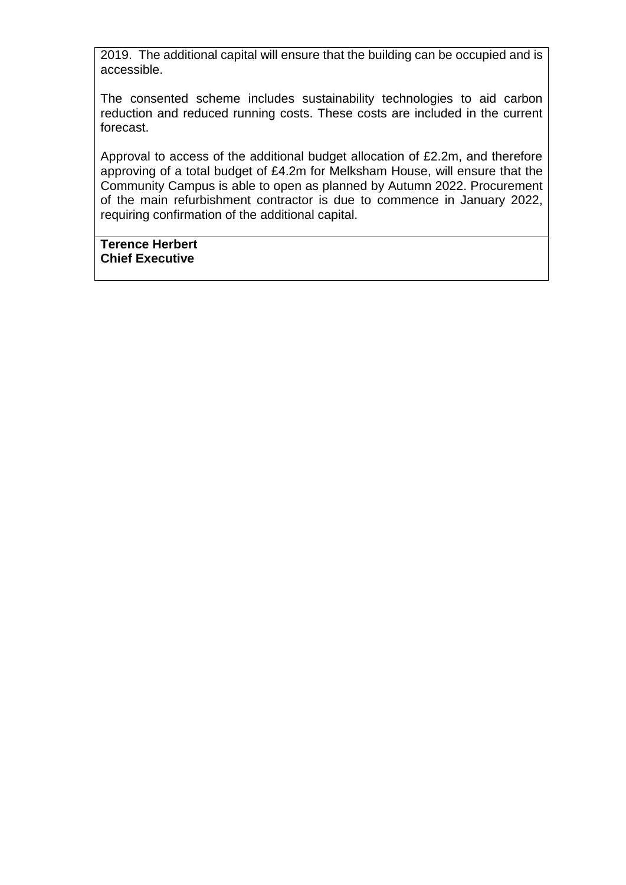2019. The additional capital will ensure that the building can be occupied and is accessible.

The consented scheme includes sustainability technologies to aid carbon reduction and reduced running costs. These costs are included in the current forecast.

Approval to access of the additional budget allocation of £2.2m, and therefore approving of a total budget of £4.2m for Melksham House, will ensure that the Community Campus is able to open as planned by Autumn 2022. Procurement of the main refurbishment contractor is due to commence in January 2022, requiring confirmation of the additional capital.

# **Terence Herbert Chief Executive**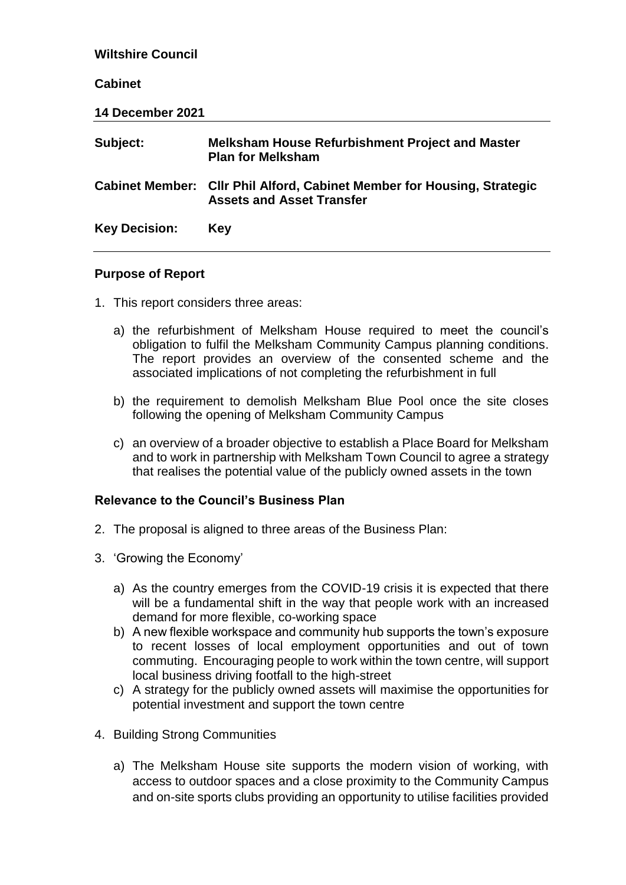| <b>Wiltshire Council</b> |                                                                                                             |  |
|--------------------------|-------------------------------------------------------------------------------------------------------------|--|
| <b>Cabinet</b>           |                                                                                                             |  |
| 14 December 2021         |                                                                                                             |  |
| Subject:                 | <b>Melksham House Refurbishment Project and Master</b><br><b>Plan for Melksham</b>                          |  |
|                          | Cabinet Member: Cllr Phil Alford, Cabinet Member for Housing, Strategic<br><b>Assets and Asset Transfer</b> |  |
| <b>Key Decision:</b>     | Key                                                                                                         |  |

# **Purpose of Report**

- 1. This report considers three areas:
	- a) the refurbishment of Melksham House required to meet the council's obligation to fulfil the Melksham Community Campus planning conditions. The report provides an overview of the consented scheme and the associated implications of not completing the refurbishment in full
	- b) the requirement to demolish Melksham Blue Pool once the site closes following the opening of Melksham Community Campus
	- c) an overview of a broader objective to establish a Place Board for Melksham and to work in partnership with Melksham Town Council to agree a strategy that realises the potential value of the publicly owned assets in the town

# **Relevance to the Council's Business Plan**

- 2. The proposal is aligned to three areas of the Business Plan:
- 3. 'Growing the Economy'
	- a) As the country emerges from the COVID-19 crisis it is expected that there will be a fundamental shift in the way that people work with an increased demand for more flexible, co-working space
	- b) A new flexible workspace and community hub supports the town's exposure to recent losses of local employment opportunities and out of town commuting. Encouraging people to work within the town centre, will support local business driving footfall to the high-street
	- c) A strategy for the publicly owned assets will maximise the opportunities for potential investment and support the town centre
- 4. Building Strong Communities
	- a) The Melksham House site supports the modern vision of working, with access to outdoor spaces and a close proximity to the Community Campus and on-site sports clubs providing an opportunity to utilise facilities provided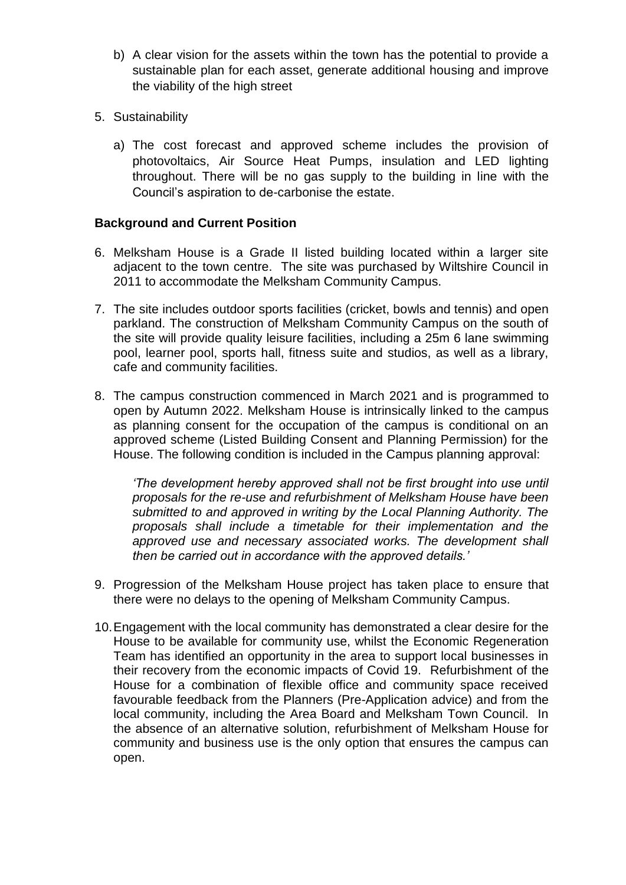- b) A clear vision for the assets within the town has the potential to provide a sustainable plan for each asset, generate additional housing and improve the viability of the high street
- 5. Sustainability
	- a) The cost forecast and approved scheme includes the provision of photovoltaics, Air Source Heat Pumps, insulation and LED lighting throughout. There will be no gas supply to the building in line with the Council's aspiration to de-carbonise the estate.

# **Background and Current Position**

- 6. Melksham House is a Grade II listed building located within a larger site adjacent to the town centre. The site was purchased by Wiltshire Council in 2011 to accommodate the Melksham Community Campus.
- 7. The site includes outdoor sports facilities (cricket, bowls and tennis) and open parkland. The construction of Melksham Community Campus on the south of the site will provide quality leisure facilities, including a 25m 6 lane swimming pool, learner pool, sports hall, fitness suite and studios, as well as a library, cafe and community facilities.
- 8. The campus construction commenced in March 2021 and is programmed to open by Autumn 2022. Melksham House is intrinsically linked to the campus as planning consent for the occupation of the campus is conditional on an approved scheme (Listed Building Consent and Planning Permission) for the House. The following condition is included in the Campus planning approval:

*'The development hereby approved shall not be first brought into use until proposals for the re-use and refurbishment of Melksham House have been submitted to and approved in writing by the Local Planning Authority. The proposals shall include a timetable for their implementation and the approved use and necessary associated works. The development shall then be carried out in accordance with the approved details.'*

- 9. Progression of the Melksham House project has taken place to ensure that there were no delays to the opening of Melksham Community Campus.
- 10.Engagement with the local community has demonstrated a clear desire for the House to be available for community use, whilst the Economic Regeneration Team has identified an opportunity in the area to support local businesses in their recovery from the economic impacts of Covid 19. Refurbishment of the House for a combination of flexible office and community space received favourable feedback from the Planners (Pre-Application advice) and from the local community, including the Area Board and Melksham Town Council. In the absence of an alternative solution, refurbishment of Melksham House for community and business use is the only option that ensures the campus can open.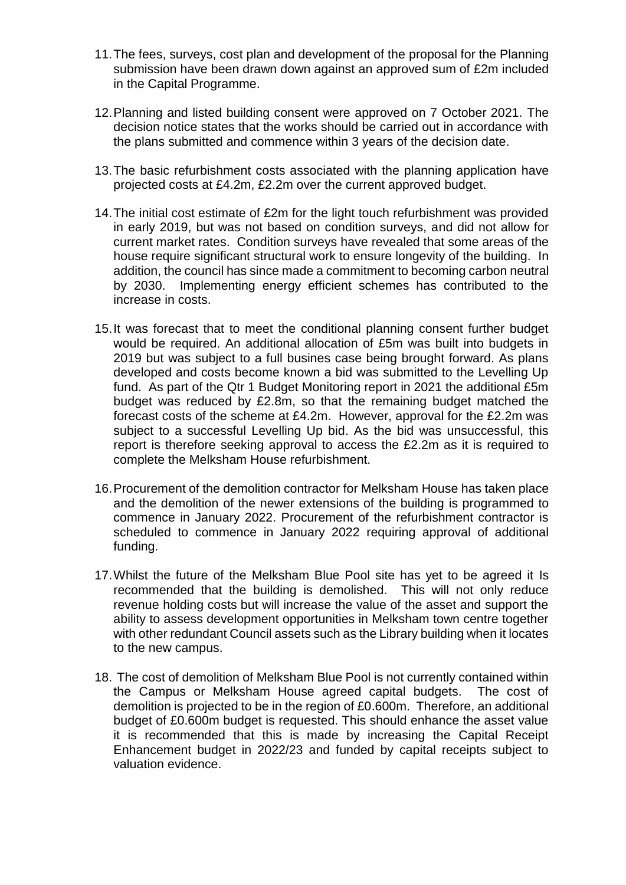- 11.The fees, surveys, cost plan and development of the proposal for the Planning submission have been drawn down against an approved sum of £2m included in the Capital Programme.
- 12.Planning and listed building consent were approved on 7 October 2021. The decision notice states that the works should be carried out in accordance with the plans submitted and commence within 3 years of the decision date.
- 13.The basic refurbishment costs associated with the planning application have projected costs at £4.2m, £2.2m over the current approved budget.
- 14.The initial cost estimate of £2m for the light touch refurbishment was provided in early 2019, but was not based on condition surveys, and did not allow for current market rates. Condition surveys have revealed that some areas of the house require significant structural work to ensure longevity of the building. In addition, the council has since made a commitment to becoming carbon neutral by 2030. Implementing energy efficient schemes has contributed to the increase in costs.
- 15.It was forecast that to meet the conditional planning consent further budget would be required. An additional allocation of £5m was built into budgets in 2019 but was subject to a full busines case being brought forward. As plans developed and costs become known a bid was submitted to the Levelling Up fund. As part of the Qtr 1 Budget Monitoring report in 2021 the additional £5m budget was reduced by £2.8m, so that the remaining budget matched the forecast costs of the scheme at £4.2m. However, approval for the £2.2m was subject to a successful Levelling Up bid. As the bid was unsuccessful, this report is therefore seeking approval to access the £2.2m as it is required to complete the Melksham House refurbishment.
- 16.Procurement of the demolition contractor for Melksham House has taken place and the demolition of the newer extensions of the building is programmed to commence in January 2022. Procurement of the refurbishment contractor is scheduled to commence in January 2022 requiring approval of additional funding.
- 17.Whilst the future of the Melksham Blue Pool site has yet to be agreed it Is recommended that the building is demolished. This will not only reduce revenue holding costs but will increase the value of the asset and support the ability to assess development opportunities in Melksham town centre together with other redundant Council assets such as the Library building when it locates to the new campus.
- 18. The cost of demolition of Melksham Blue Pool is not currently contained within the Campus or Melksham House agreed capital budgets. The cost of demolition is projected to be in the region of £0.600m. Therefore, an additional budget of £0.600m budget is requested. This should enhance the asset value it is recommended that this is made by increasing the Capital Receipt Enhancement budget in 2022/23 and funded by capital receipts subject to valuation evidence.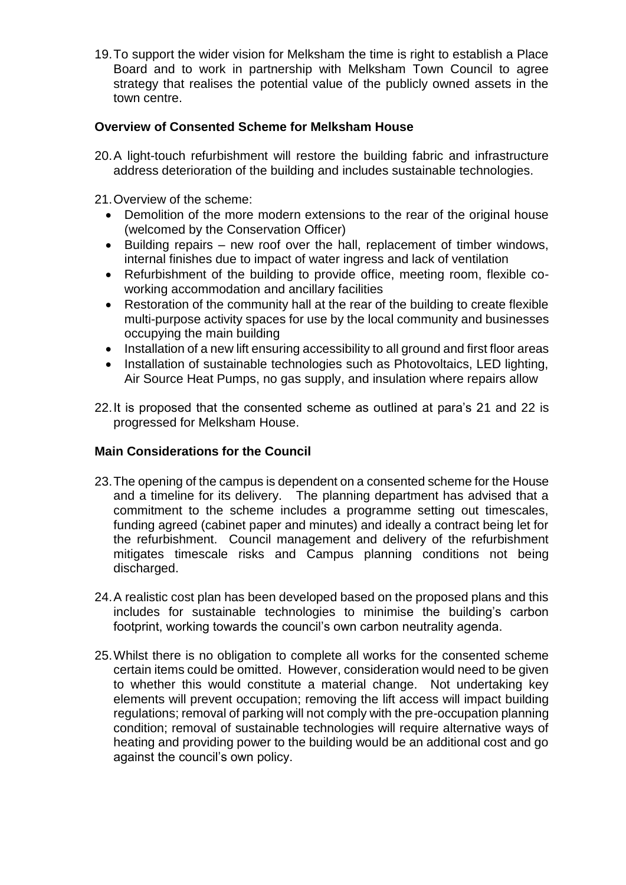19.To support the wider vision for Melksham the time is right to establish a Place Board and to work in partnership with Melksham Town Council to agree strategy that realises the potential value of the publicly owned assets in the town centre.

# **Overview of Consented Scheme for Melksham House**

- 20.A light-touch refurbishment will restore the building fabric and infrastructure address deterioration of the building and includes sustainable technologies.
- 21.Overview of the scheme:
	- Demolition of the more modern extensions to the rear of the original house (welcomed by the Conservation Officer)
	- Building repairs new roof over the hall, replacement of timber windows, internal finishes due to impact of water ingress and lack of ventilation
	- Refurbishment of the building to provide office, meeting room, flexible coworking accommodation and ancillary facilities
	- Restoration of the community hall at the rear of the building to create flexible multi-purpose activity spaces for use by the local community and businesses occupying the main building
	- Installation of a new lift ensuring accessibility to all ground and first floor areas
	- Installation of sustainable technologies such as Photovoltaics, LED lighting, Air Source Heat Pumps, no gas supply, and insulation where repairs allow
- 22.It is proposed that the consented scheme as outlined at para's 21 and 22 is progressed for Melksham House.

# **Main Considerations for the Council**

- 23.The opening of the campus is dependent on a consented scheme for the House and a timeline for its delivery. The planning department has advised that a commitment to the scheme includes a programme setting out timescales, funding agreed (cabinet paper and minutes) and ideally a contract being let for the refurbishment. Council management and delivery of the refurbishment mitigates timescale risks and Campus planning conditions not being discharged.
- 24.A realistic cost plan has been developed based on the proposed plans and this includes for sustainable technologies to minimise the building's carbon footprint, working towards the council's own carbon neutrality agenda.
- 25.Whilst there is no obligation to complete all works for the consented scheme certain items could be omitted. However, consideration would need to be given to whether this would constitute a material change. Not undertaking key elements will prevent occupation; removing the lift access will impact building regulations; removal of parking will not comply with the pre-occupation planning condition; removal of sustainable technologies will require alternative ways of heating and providing power to the building would be an additional cost and go against the council's own policy.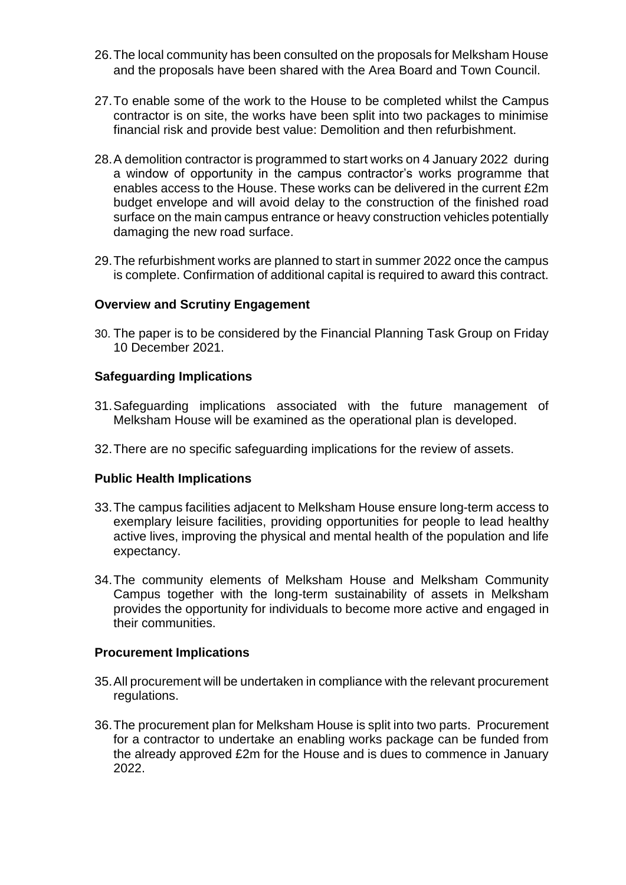- 26.The local community has been consulted on the proposals for Melksham House and the proposals have been shared with the Area Board and Town Council.
- 27.To enable some of the work to the House to be completed whilst the Campus contractor is on site, the works have been split into two packages to minimise financial risk and provide best value: Demolition and then refurbishment.
- 28.A demolition contractor is programmed to start works on 4 January 2022 during a window of opportunity in the campus contractor's works programme that enables access to the House. These works can be delivered in the current £2m budget envelope and will avoid delay to the construction of the finished road surface on the main campus entrance or heavy construction vehicles potentially damaging the new road surface.
- 29.The refurbishment works are planned to start in summer 2022 once the campus is complete. Confirmation of additional capital is required to award this contract.

### **Overview and Scrutiny Engagement**

30. The paper is to be considered by the Financial Planning Task Group on Friday 10 December 2021.

### **Safeguarding Implications**

- 31.Safeguarding implications associated with the future management of Melksham House will be examined as the operational plan is developed.
- 32.There are no specific safeguarding implications for the review of assets.

#### **Public Health Implications**

- 33.The campus facilities adjacent to Melksham House ensure long-term access to exemplary leisure facilities, providing opportunities for people to lead healthy active lives, improving the physical and mental health of the population and life expectancy.
- 34.The community elements of Melksham House and Melksham Community Campus together with the long-term sustainability of assets in Melksham provides the opportunity for individuals to become more active and engaged in their communities.

#### **Procurement Implications**

- 35.All procurement will be undertaken in compliance with the relevant procurement regulations.
- 36.The procurement plan for Melksham House is split into two parts. Procurement for a contractor to undertake an enabling works package can be funded from the already approved £2m for the House and is dues to commence in January 2022.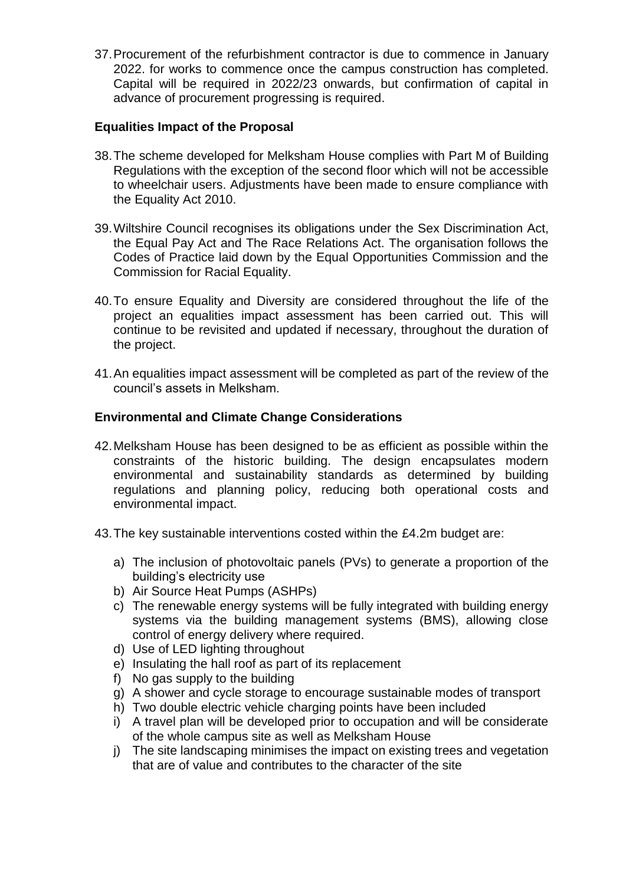37.Procurement of the refurbishment contractor is due to commence in January 2022. for works to commence once the campus construction has completed. Capital will be required in 2022/23 onwards, but confirmation of capital in advance of procurement progressing is required.

# **Equalities Impact of the Proposal**

- 38.The scheme developed for Melksham House complies with Part M of Building Regulations with the exception of the second floor which will not be accessible to wheelchair users. Adjustments have been made to ensure compliance with the Equality Act 2010.
- 39.Wiltshire Council recognises its obligations under the Sex Discrimination Act, the Equal Pay Act and The Race Relations Act. The organisation follows the Codes of Practice laid down by the Equal Opportunities Commission and the Commission for Racial Equality.
- 40.To ensure Equality and Diversity are considered throughout the life of the project an equalities impact assessment has been carried out. This will continue to be revisited and updated if necessary, throughout the duration of the project.
- 41.An equalities impact assessment will be completed as part of the review of the council's assets in Melksham.

# **Environmental and Climate Change Considerations**

- 42.Melksham House has been designed to be as efficient as possible within the constraints of the historic building. The design encapsulates modern environmental and sustainability standards as determined by building regulations and planning policy, reducing both operational costs and environmental impact.
- 43.The key sustainable interventions costed within the £4.2m budget are:
	- a) The inclusion of photovoltaic panels (PVs) to generate a proportion of the building's electricity use
	- b) Air Source Heat Pumps (ASHPs)
	- c) The renewable energy systems will be fully integrated with building energy systems via the building management systems (BMS), allowing close control of energy delivery where required.
	- d) Use of LED lighting throughout
	- e) Insulating the hall roof as part of its replacement
	- f) No gas supply to the building
	- g) A shower and cycle storage to encourage sustainable modes of transport
	- h) Two double electric vehicle charging points have been included
	- i) A travel plan will be developed prior to occupation and will be considerate of the whole campus site as well as Melksham House
	- j) The site landscaping minimises the impact on existing trees and vegetation that are of value and contributes to the character of the site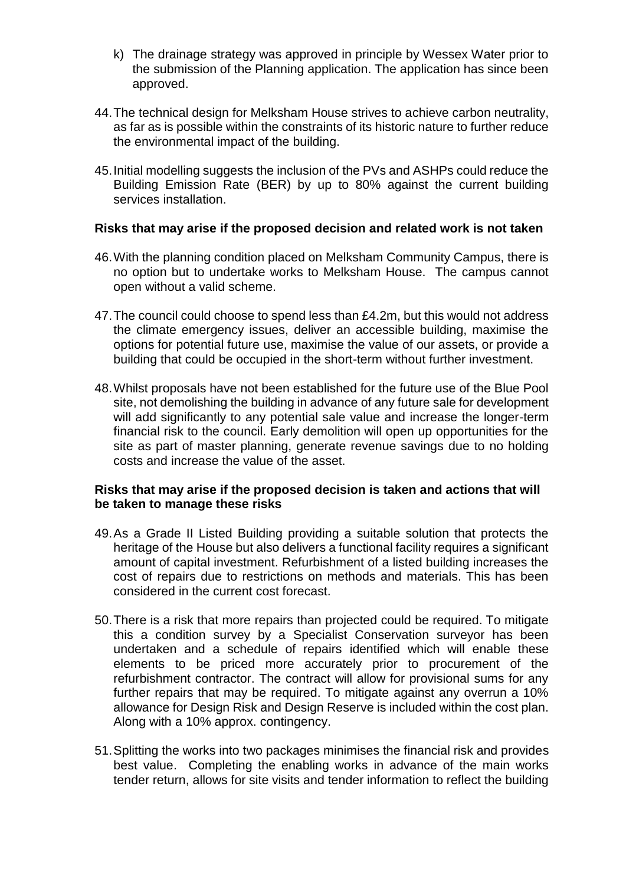- k) The drainage strategy was approved in principle by Wessex Water prior to the submission of the Planning application. The application has since been approved.
- 44.The technical design for Melksham House strives to achieve carbon neutrality, as far as is possible within the constraints of its historic nature to further reduce the environmental impact of the building.
- 45.Initial modelling suggests the inclusion of the PVs and ASHPs could reduce the Building Emission Rate (BER) by up to 80% against the current building services installation.

### **Risks that may arise if the proposed decision and related work is not taken**

- 46.With the planning condition placed on Melksham Community Campus, there is no option but to undertake works to Melksham House. The campus cannot open without a valid scheme.
- 47.The council could choose to spend less than £4.2m, but this would not address the climate emergency issues, deliver an accessible building, maximise the options for potential future use, maximise the value of our assets, or provide a building that could be occupied in the short-term without further investment.
- 48.Whilst proposals have not been established for the future use of the Blue Pool site, not demolishing the building in advance of any future sale for development will add significantly to any potential sale value and increase the longer-term financial risk to the council. Early demolition will open up opportunities for the site as part of master planning, generate revenue savings due to no holding costs and increase the value of the asset.

### **Risks that may arise if the proposed decision is taken and actions that will be taken to manage these risks**

- 49.As a Grade II Listed Building providing a suitable solution that protects the heritage of the House but also delivers a functional facility requires a significant amount of capital investment. Refurbishment of a listed building increases the cost of repairs due to restrictions on methods and materials. This has been considered in the current cost forecast.
- 50.There is a risk that more repairs than projected could be required. To mitigate this a condition survey by a Specialist Conservation surveyor has been undertaken and a schedule of repairs identified which will enable these elements to be priced more accurately prior to procurement of the refurbishment contractor. The contract will allow for provisional sums for any further repairs that may be required. To mitigate against any overrun a 10% allowance for Design Risk and Design Reserve is included within the cost plan. Along with a 10% approx. contingency.
- 51.Splitting the works into two packages minimises the financial risk and provides best value. Completing the enabling works in advance of the main works tender return, allows for site visits and tender information to reflect the building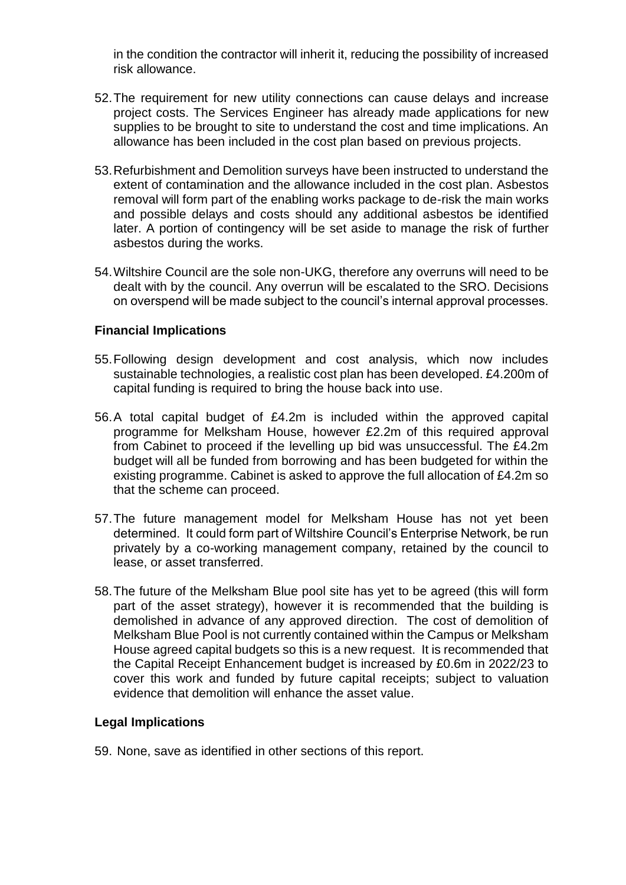in the condition the contractor will inherit it, reducing the possibility of increased risk allowance.

- 52.The requirement for new utility connections can cause delays and increase project costs. The Services Engineer has already made applications for new supplies to be brought to site to understand the cost and time implications. An allowance has been included in the cost plan based on previous projects.
- 53.Refurbishment and Demolition surveys have been instructed to understand the extent of contamination and the allowance included in the cost plan. Asbestos removal will form part of the enabling works package to de-risk the main works and possible delays and costs should any additional asbestos be identified later. A portion of contingency will be set aside to manage the risk of further asbestos during the works.
- 54.Wiltshire Council are the sole non-UKG, therefore any overruns will need to be dealt with by the council. Any overrun will be escalated to the SRO. Decisions on overspend will be made subject to the council's internal approval processes.

# **Financial Implications**

- 55.Following design development and cost analysis, which now includes sustainable technologies, a realistic cost plan has been developed. £4.200m of capital funding is required to bring the house back into use.
- 56.A total capital budget of £4.2m is included within the approved capital programme for Melksham House, however £2.2m of this required approval from Cabinet to proceed if the levelling up bid was unsuccessful. The £4.2m budget will all be funded from borrowing and has been budgeted for within the existing programme. Cabinet is asked to approve the full allocation of £4.2m so that the scheme can proceed.
- 57.The future management model for Melksham House has not yet been determined. It could form part of Wiltshire Council's Enterprise Network, be run privately by a co-working management company, retained by the council to lease, or asset transferred.
- 58.The future of the Melksham Blue pool site has yet to be agreed (this will form part of the asset strategy), however it is recommended that the building is demolished in advance of any approved direction. The cost of demolition of Melksham Blue Pool is not currently contained within the Campus or Melksham House agreed capital budgets so this is a new request. It is recommended that the Capital Receipt Enhancement budget is increased by £0.6m in 2022/23 to cover this work and funded by future capital receipts; subject to valuation evidence that demolition will enhance the asset value.

# **Legal Implications**

59. None, save as identified in other sections of this report.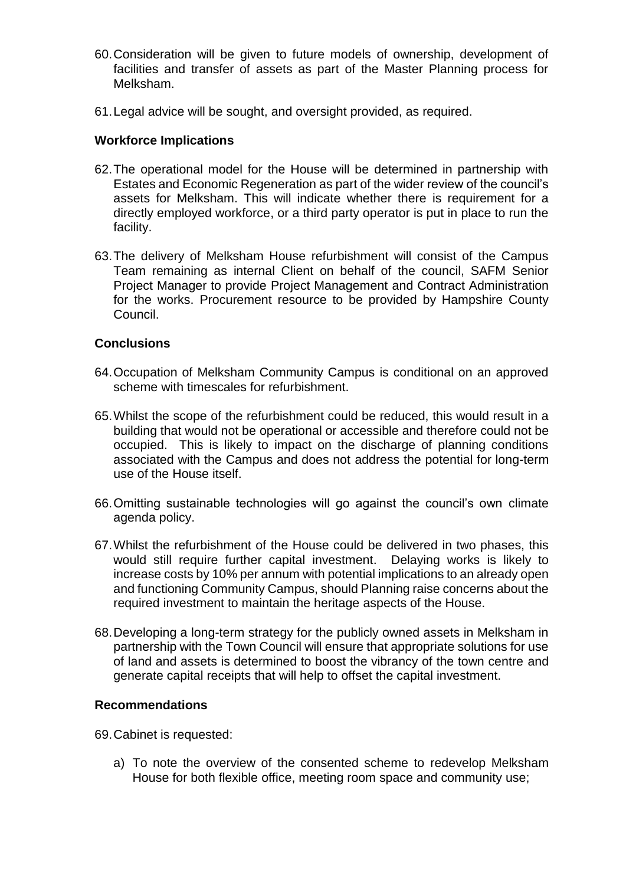- 60.Consideration will be given to future models of ownership, development of facilities and transfer of assets as part of the Master Planning process for Melksham.
- 61.Legal advice will be sought, and oversight provided, as required.

### **Workforce Implications**

- 62.The operational model for the House will be determined in partnership with Estates and Economic Regeneration as part of the wider review of the council's assets for Melksham. This will indicate whether there is requirement for a directly employed workforce, or a third party operator is put in place to run the facility.
- 63.The delivery of Melksham House refurbishment will consist of the Campus Team remaining as internal Client on behalf of the council, SAFM Senior Project Manager to provide Project Management and Contract Administration for the works. Procurement resource to be provided by Hampshire County Council.

### **Conclusions**

- 64.Occupation of Melksham Community Campus is conditional on an approved scheme with timescales for refurbishment.
- 65.Whilst the scope of the refurbishment could be reduced, this would result in a building that would not be operational or accessible and therefore could not be occupied. This is likely to impact on the discharge of planning conditions associated with the Campus and does not address the potential for long-term use of the House itself.
- 66.Omitting sustainable technologies will go against the council's own climate agenda policy.
- 67.Whilst the refurbishment of the House could be delivered in two phases, this would still require further capital investment. Delaying works is likely to increase costs by 10% per annum with potential implications to an already open and functioning Community Campus, should Planning raise concerns about the required investment to maintain the heritage aspects of the House.
- 68.Developing a long-term strategy for the publicly owned assets in Melksham in partnership with the Town Council will ensure that appropriate solutions for use of land and assets is determined to boost the vibrancy of the town centre and generate capital receipts that will help to offset the capital investment.

#### **Recommendations**

69.Cabinet is requested:

a) To note the overview of the consented scheme to redevelop Melksham House for both flexible office, meeting room space and community use;